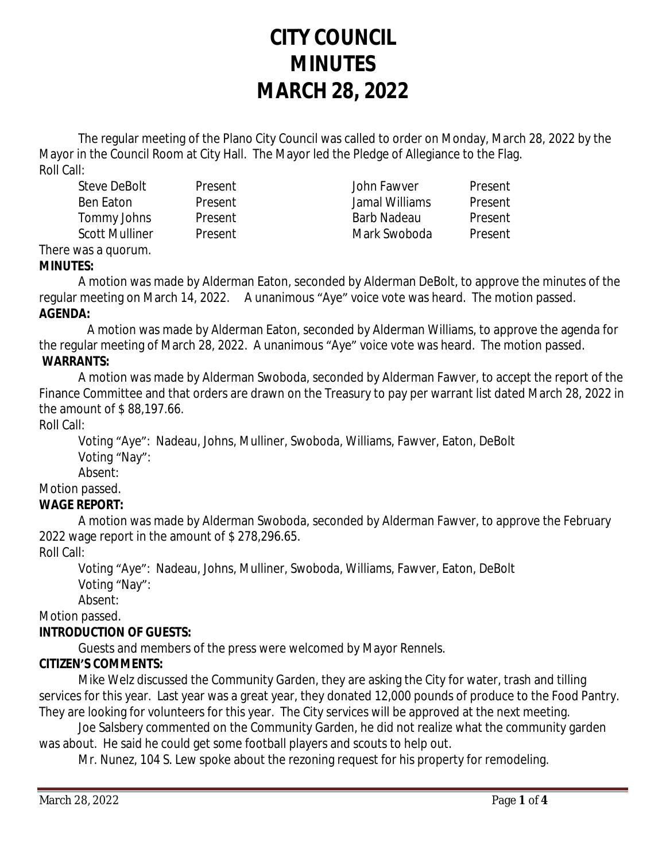# **CITY COUNCIL MINUTES MARCH 28, 2022**

The regular meeting of the Plano City Council was called to order on Monday, March 28, 2022 by the Mayor in the Council Room at City Hall. The Mayor led the Pledge of Allegiance to the Flag. Roll Call:

Steve DeBolt Present John Fawver Present Ben Eaton Present Jamal Williams Present Tommy Johns Present Barb Nadeau Present Scott Mulliner and Present and Mark Swoboda Present

#### There was a quorum. **MINUTES:**

A motion was made by Alderman Eaton, seconded by Alderman DeBolt, to approve the minutes of the regular meeting on March 14, 2022. A unanimous "Aye" voice vote was heard. The motion passed. **AGENDA:**

 A motion was made by Alderman Eaton, seconded by Alderman Williams, to approve the agenda for the regular meeting of March 28, 2022. A unanimous "Aye" voice vote was heard. The motion passed. **WARRANTS:**

A motion was made by Alderman Swoboda, seconded by Alderman Fawver, to accept the report of the Finance Committee and that orders are drawn on the Treasury to pay per warrant list dated March 28, 2022 in the amount of \$ 88,197.66.

Roll Call:

Voting "Aye": Nadeau, Johns, Mulliner, Swoboda, Williams, Fawver, Eaton, DeBolt Voting "Nay":

Absent:

Motion passed.

# **WAGE REPORT:**

A motion was made by Alderman Swoboda, seconded by Alderman Fawver, to approve the February 2022 wage report in the amount of \$ 278,296.65.

## Roll Call:

Voting "Aye": Nadeau, Johns, Mulliner, Swoboda, Williams, Fawver, Eaton, DeBolt Voting "Nay":

Absent:

Motion passed.

# **INTRODUCTION OF GUESTS:**

Guests and members of the press were welcomed by Mayor Rennels.

# **CITIZEN'S COMMENTS:**

Mike Welz discussed the Community Garden, they are asking the City for water, trash and tilling services for this year. Last year was a great year, they donated 12,000 pounds of produce to the Food Pantry. They are looking for volunteers for this year. The City services will be approved at the next meeting.

Joe Salsbery commented on the Community Garden, he did not realize what the community garden was about. He said he could get some football players and scouts to help out.

Mr. Nunez, 104 S. Lew spoke about the rezoning request for his property for remodeling.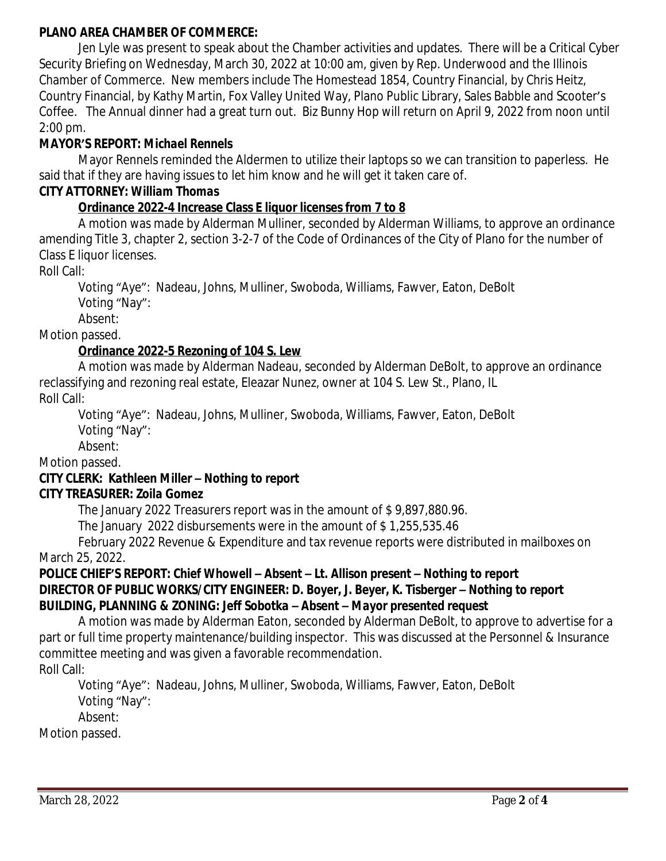## **PLANO AREA CHAMBER OF COMMERCE:**

Jen Lyle was present to speak about the Chamber activities and updates. There will be a Critical Cyber Security Briefing on Wednesday, March 30, 2022 at 10:00 am, given by Rep. Underwood and the Illinois Chamber of Commerce. New members include The Homestead 1854, Country Financial, by Chris Heitz, Country Financial, by Kathy Martin, Fox Valley United Way, Plano Public Library, Sales Babble and Scooter's Coffee. The Annual dinner had a great turn out. Biz Bunny Hop will return on April 9, 2022 from noon until 2:00 pm.

# **MAYOR'S REPORT:** *Michael Rennels*

Mayor Rennels reminded the Aldermen to utilize their laptops so we can transition to paperless. He said that if they are having issues to let him know and he will get it taken care of.

## **CITY ATTORNEY:** *William Thomas*

# **Ordinance 2022-4 Increase Class E liquor licenses from 7 to 8**

A motion was made by Alderman Mulliner, seconded by Alderman Williams, to approve an ordinance amending Title 3, chapter 2, section 3-2-7 of the Code of Ordinances of the City of Plano for the number of Class E liquor licenses.

Roll Call:

Voting "Aye": Nadeau, Johns, Mulliner, Swoboda, Williams, Fawver, Eaton, DeBolt Voting "Nay":

Absent:

Motion passed.

# **Ordinance 2022-5 Rezoning of 104 S. Lew**

A motion was made by Alderman Nadeau, seconded by Alderman DeBolt, to approve an ordinance reclassifying and rezoning real estate, Eleazar Nunez, owner at 104 S. Lew St., Plano, IL Roll Call:

Voting "Aye": Nadeau, Johns, Mulliner, Swoboda, Williams, Fawver, Eaton, DeBolt Voting "Nay":

Absent:

# Motion passed.

#### **CITY CLERK:** *Kathleen Miller – Nothing to report* **CITY TREASURER***: Zoila Gomez*

The January 2022 Treasurers report was in the amount of \$ 9,897,880.96.

The January 2022 disbursements were in the amount of \$ 1,255,535.46

February 2022 Revenue & Expenditure and tax revenue reports were distributed in mailboxes on March 25, 2022.

## **POLICE CHIEF'S REPORT:** *Chief Whowell – Absent – Lt. Allison present – Nothing to report* **DIRECTOR OF PUBLIC WORKS/CITY ENGINEER***: D. Boyer, J. Beyer, K. Tisberger – Nothing to report* **BUILDING, PLANNING & ZONING:** *Jeff Sobotka – Absent – Mayor presented request*

A motion was made by Alderman Eaton, seconded by Alderman DeBolt, to approve to advertise for a part or full time property maintenance/building inspector. This was discussed at the Personnel & Insurance committee meeting and was given a favorable recommendation. Roll Call:

Voting "Aye": Nadeau, Johns, Mulliner, Swoboda, Williams, Fawver, Eaton, DeBolt Voting "Nay": Absent:

Motion passed.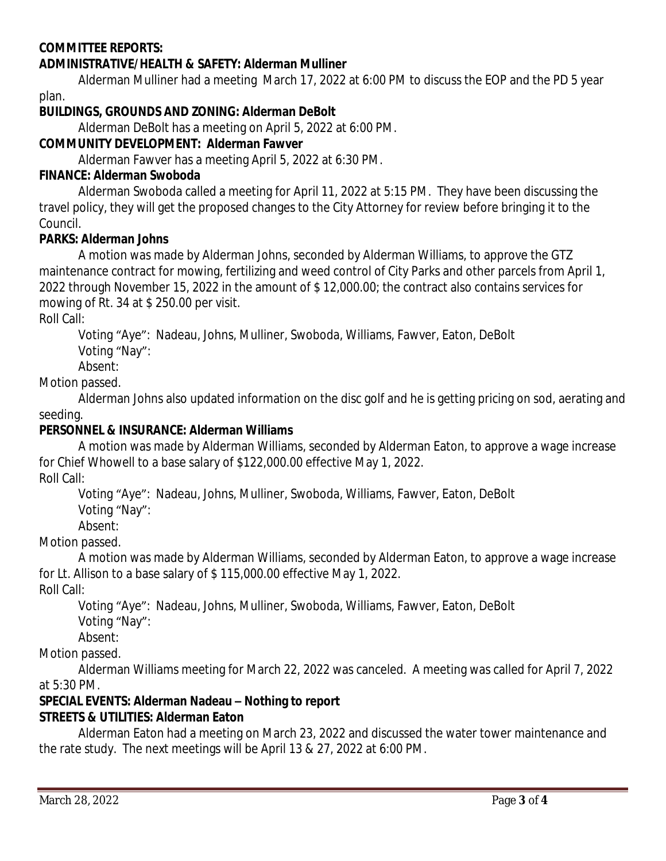## **COMMITTEE REPORTS:**

#### **ADMINISTRATIVE/HEALTH & SAFETY: Alderman Mulliner**

Alderman Mulliner had a meeting March 17, 2022 at 6:00 PM to discuss the EOP and the PD 5 year plan.

#### **BUILDINGS, GROUNDS AND ZONING: Alderman DeBolt**

Alderman DeBolt has a meeting on April 5, 2022 at 6:00 PM.

## **COMMUNITY DEVELOPMENT: Alderman Fawver**

Alderman Fawver has a meeting April 5, 2022 at 6:30 PM.

#### **FINANCE: Alderman Swoboda**

Alderman Swoboda called a meeting for April 11, 2022 at 5:15 PM. They have been discussing the travel policy, they will get the proposed changes to the City Attorney for review before bringing it to the Council.

#### **PARKS: Alderman Johns**

A motion was made by Alderman Johns, seconded by Alderman Williams, to approve the GTZ maintenance contract for mowing, fertilizing and weed control of City Parks and other parcels from April 1, 2022 through November 15, 2022 in the amount of \$ 12,000.00; the contract also contains services for mowing of Rt. 34 at \$ 250.00 per visit.

Roll Call:

Voting "Aye": Nadeau, Johns, Mulliner, Swoboda, Williams, Fawver, Eaton, DeBolt

Voting "Nay":

Absent:

Motion passed.

Alderman Johns also updated information on the disc golf and he is getting pricing on sod, aerating and seeding.

## **PERSONNEL & INSURANCE: Alderman Williams**

A motion was made by Alderman Williams, seconded by Alderman Eaton, to approve a wage increase for Chief Whowell to a base salary of \$122,000.00 effective May 1, 2022. Roll Call:

Voting "Aye": Nadeau, Johns, Mulliner, Swoboda, Williams, Fawver, Eaton, DeBolt

Voting "Nay":

Absent:

Motion passed.

A motion was made by Alderman Williams, seconded by Alderman Eaton, to approve a wage increase for Lt. Allison to a base salary of \$ 115,000.00 effective May 1, 2022.

Roll Call:

Voting "Aye": Nadeau, Johns, Mulliner, Swoboda, Williams, Fawver, Eaton, DeBolt

Voting "Nay":

Absent:

#### Motion passed.

Alderman Williams meeting for March 22, 2022 was canceled. A meeting was called for April 7, 2022 at 5:30 PM.

## **SPECIAL EVENTS: Alderman Nadeau – Nothing to report**

## **STREETS & UTILITIES: Alderman Eaton**

Alderman Eaton had a meeting on March 23, 2022 and discussed the water tower maintenance and the rate study. The next meetings will be April 13 & 27, 2022 at 6:00 PM.